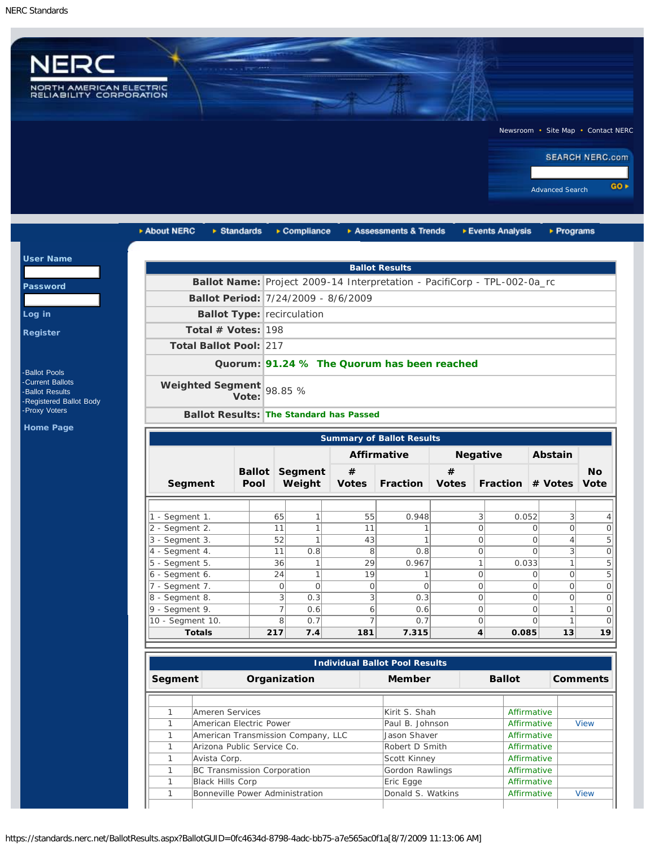$u$ </u>

Pa

 $Loq$ Reg



| ▶ About NERC                        | $\triangleright$ Standards                     |                                             | $\triangleright$ Compliance     |                   | Assessments & Trends                                                     |                   |                     | ▶ Events Analysis | $\triangleright$ Programs                         |                          |
|-------------------------------------|------------------------------------------------|---------------------------------------------|---------------------------------|-------------------|--------------------------------------------------------------------------|-------------------|---------------------|-------------------|---------------------------------------------------|--------------------------|
|                                     |                                                |                                             |                                 |                   | <b>Ballot Results</b>                                                    |                   |                     |                   |                                                   |                          |
|                                     |                                                |                                             |                                 |                   | Ballot Name: Project 2009-14 Interpretation - PacifiCorp - TPL-002-0a_rc |                   |                     |                   |                                                   |                          |
|                                     | Ballot Period: 7/24/2009 - 8/6/2009            |                                             |                                 |                   |                                                                          |                   |                     |                   |                                                   |                          |
|                                     |                                                |                                             |                                 |                   |                                                                          |                   |                     |                   |                                                   |                          |
|                                     | <b>Ballot Type: recirculation</b>              |                                             |                                 |                   |                                                                          |                   |                     |                   |                                                   |                          |
|                                     | Total # Votes: $198$                           |                                             |                                 |                   |                                                                          |                   |                     |                   |                                                   |                          |
|                                     | Total Ballot Pool: 217                         |                                             |                                 |                   |                                                                          |                   |                     |                   |                                                   |                          |
|                                     |                                                | Quorum: 91.24 % The Quorum has been reached |                                 |                   |                                                                          |                   |                     |                   |                                                   |                          |
|                                     | Weighted Segment<br>Vote:                      |                                             | 98.85 %                         |                   |                                                                          |                   |                     |                   |                                                   |                          |
|                                     | <b>Ballot Results: The Standard has Passed</b> |                                             |                                 |                   |                                                                          |                   |                     |                   |                                                   |                          |
|                                     |                                                |                                             |                                 |                   |                                                                          |                   |                     |                   |                                                   |                          |
|                                     |                                                |                                             |                                 |                   | <b>Summary of Ballot Results</b>                                         |                   |                     |                   |                                                   |                          |
|                                     |                                                |                                             |                                 |                   | <b>Affirmative</b>                                                       | <b>Negative</b>   |                     |                   | Abstain                                           |                          |
| Segment                             | Pool                                           |                                             | <b>Ballot Segment</b><br>Weight | #<br><b>Votes</b> | <b>Fraction</b>                                                          | #<br><b>Votes</b> |                     | <b>Fraction</b>   | # Votes                                           | <b>No</b><br><b>Vote</b> |
|                                     |                                                |                                             |                                 |                   |                                                                          |                   |                     |                   |                                                   |                          |
| 1 - Segment 1.                      |                                                | 65                                          | $\mathbf{1}$                    | 55                | 0.948                                                                    |                   | $\overline{3}$      | 0.052             | 3 <sup>1</sup>                                    |                          |
| 2 - Segment 2.<br>$3 - Segment 3$ . |                                                | 11<br>52                                    | $\mathbf{1}$<br>$\mathbf{1}$    | 11<br>43          | 1<br>1                                                                   |                   | $\circ$<br>$\Omega$ |                   | $\circ$<br>$\Omega$<br>$\overline{4}$<br>$\Omega$ |                          |
| 4 - Segment 4.                      |                                                | 11                                          | 0.8                             | 8                 | 0.8                                                                      |                   | $\circ$             |                   | $\frac{3}{2}$<br>$\Omega$                         |                          |
| $5 - Segment 5$ .                   |                                                | 36                                          | $\mathbf{1}$                    | 29                | 0.967                                                                    |                   | 1                   | 0.033             | $\mathbf{1}$                                      |                          |
| 6 - Segment 6.                      |                                                | 24                                          | $\mathbf{1}$                    | 19                | $\mathbf{1}$                                                             |                   | $\circ$             |                   | $\Omega$<br>$\Omega$                              |                          |
| 7 - Segment 7.                      |                                                | $\circ$                                     | $\circ$                         | $\circ$           | $\Omega$                                                                 |                   | $\circ$             |                   | $\circ$<br>$\Omega$                               |                          |
| 8 - Segment 8.                      |                                                | 3                                           | 0.3                             | 3                 | 0.3                                                                      |                   | $\Omega$            |                   | $\Omega$<br>$\Omega$                              |                          |
| $ 9 - \text{Segment } 9.$           |                                                | $\overline{7}$                              | 0.6                             | 6                 | 0.6                                                                      |                   | $\Omega$            |                   | $\mathbf{1}$<br>$\Omega$                          |                          |
| 10 - Segment 10.                    |                                                | 8                                           | 0.7                             | $\overline{7}$    | 0.7                                                                      |                   | $\Omega$            |                   | $\mathbf{1}$<br>$\Omega$                          |                          |
| <b>Totals</b>                       |                                                | 217                                         | 7.4                             | 181               | 7.315                                                                    |                   | 4                   | 0.085             | 13                                                | 19                       |

| <b>Individual Ballot Pool Results</b> |                                    |                   |  |               |                     |  |  |
|---------------------------------------|------------------------------------|-------------------|--|---------------|---------------------|--|--|
| Segment                               | Organization                       | Member            |  | <b>Ballot</b> | <b>Comments</b>     |  |  |
|                                       |                                    |                   |  |               |                     |  |  |
|                                       | Ameren Services                    | Kirit S. Shah     |  | Affirmative   |                     |  |  |
|                                       | American Electric Power            | Paul B. Johnson   |  |               | Affirmative<br>View |  |  |
|                                       | American Transmission Company, LLC | Jason Shaver      |  |               | Affirmative         |  |  |
|                                       | Arizona Public Service Co.         | Robert D Smith    |  | Affirmative   |                     |  |  |
|                                       | Avista Corp.                       | Scott Kinney      |  | Affirmative   |                     |  |  |
|                                       | BC Transmission Corporation        | Gordon Rawlings   |  | Affirmative   |                     |  |  |
|                                       | <b>Black Hills Corp</b>            | Eric Egge         |  | Affirmative   |                     |  |  |
|                                       | Bonneville Power Administration    | Donald S. Watkins |  | Affirmative   | <b>View</b>         |  |  |

https://standards.nerc.net/BallotResults.aspx?BallotGUID=0fc4634d-8798-4adc-bb75-a7e565ac0f1a[8/7/2009 11:13:06 AM]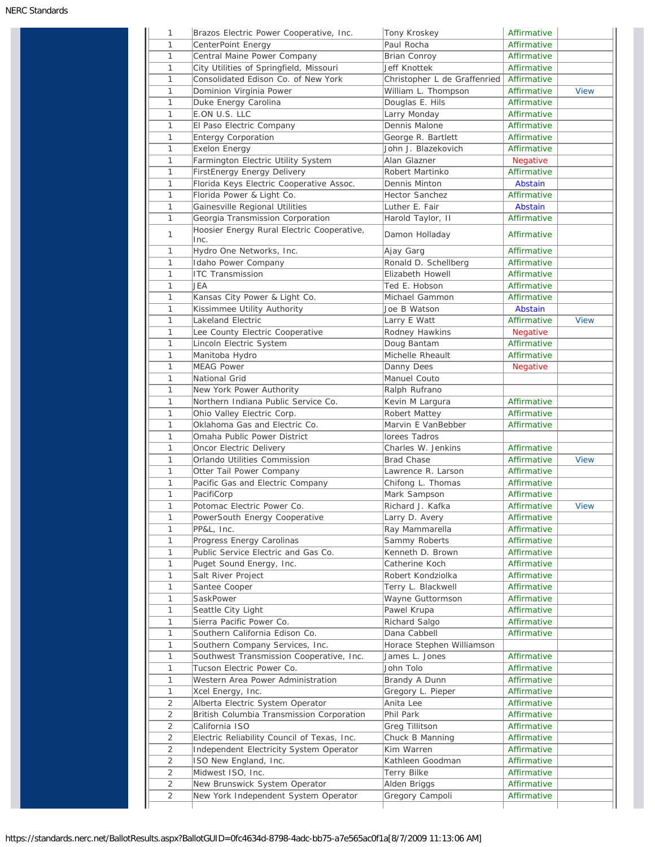| 1              | Brazos Electric Power Cooperative, Inc.                                        | Tony Kroskey                 | Affirmative     |             |
|----------------|--------------------------------------------------------------------------------|------------------------------|-----------------|-------------|
| 1              | CenterPoint Energy                                                             | Paul Rocha                   | Affirmative     |             |
| 1              | Central Maine Power Company                                                    | <b>Brian Conroy</b>          | Affirmative     |             |
| 1              | City Utilities of Springfield, Missouri                                        | Jeff Knottek                 | Affirmative     |             |
| 1              | Consolidated Edison Co. of New York                                            | Christopher L de Graffenried | Affirmative     |             |
| 1              | Dominion Virginia Power                                                        | William L. Thompson          | Affirmative     | <b>View</b> |
| 1              | Duke Energy Carolina                                                           | Douglas E. Hils              | Affirmative     |             |
| 1              | E.ON U.S. LLC                                                                  | Larry Monday                 | Affirmative     |             |
| 1              | El Paso Electric Company                                                       | Dennis Malone                | Affirmative     |             |
| 1              | <b>Entergy Corporation</b>                                                     | George R. Bartlett           | Affirmative     |             |
| 1              | <b>Exelon Energy</b>                                                           | John J. Blazekovich          | Affirmative     |             |
| 1              | Farmington Electric Utility System                                             | Alan Glazner                 | <b>Negative</b> |             |
| 1              | FirstEnergy Energy Delivery                                                    | Robert Martinko              | Affirmative     |             |
| 1              | Florida Keys Electric Cooperative Assoc.                                       | Dennis Minton                | Abstain         |             |
| 1              | Florida Power & Light Co.                                                      | Hector Sanchez               | Affirmative     |             |
| 1              | Gainesville Regional Utilities                                                 | Luther E. Fair               | Abstain         |             |
|                |                                                                                |                              | Affirmative     |             |
| 1              | Georgia Transmission Corporation<br>Hoosier Energy Rural Electric Cooperative, | Harold Taylor, II            |                 |             |
| 1              | Inc.                                                                           | Damon Holladay               | Affirmative     |             |
| 1              | Hydro One Networks, Inc.                                                       | Ajay Garg                    | Affirmative     |             |
| 1              | Idaho Power Company                                                            | Ronald D. Schellberg         | Affirmative     |             |
| 1              | <b>ITC Transmission</b>                                                        | Elizabeth Howell             | Affirmative     |             |
| 1              | JEA                                                                            | Ted E. Hobson                | Affirmative     |             |
| 1              | Kansas City Power & Light Co.                                                  | Michael Gammon               | Affirmative     |             |
| 1              | Kissimmee Utility Authority                                                    | Joe B Watson                 | Abstain         |             |
| 1              | Lakeland Electric                                                              | Larry E Watt                 | Affirmative     | <b>View</b> |
| 1              | Lee County Electric Cooperative                                                | Rodney Hawkins               | <b>Negative</b> |             |
| 1              | Lincoln Electric System                                                        | Doug Bantam                  | Affirmative     |             |
| 1              | Manitoba Hydro                                                                 | Michelle Rheault             | Affirmative     |             |
| 1              | <b>MEAG Power</b>                                                              | Danny Dees                   | <b>Negative</b> |             |
| 1              | National Grid                                                                  | Manuel Couto                 |                 |             |
| 1              | New York Power Authority                                                       | Ralph Rufrano                |                 |             |
| 1              | Northern Indiana Public Service Co.                                            | Kevin M Largura              | Affirmative     |             |
| 1              | Ohio Valley Electric Corp.                                                     | Robert Mattey                | Affirmative     |             |
| 1              | Oklahoma Gas and Electric Co.                                                  | Marvin E VanBebber           | Affirmative     |             |
|                |                                                                                |                              |                 |             |
| 1              | Omaha Public Power District                                                    | lorees Tadros                |                 |             |
| 1              | Oncor Electric Delivery                                                        | Charles W. Jenkins           | Affirmative     |             |
| 1              | Orlando Utilities Commission                                                   | Brad Chase                   | Affirmative     | <b>View</b> |
| 1              | Otter Tail Power Company                                                       | Lawrence R. Larson           | Affirmative     |             |
| 1              | Pacific Gas and Electric Company                                               | Chifong L. Thomas            | Affirmative     |             |
| 1              | PacifiCorp                                                                     | Mark Sampson                 | Affirmative     |             |
| 1              | Potomac Electric Power Co.                                                     | Richard J. Kafka             | Affirmative     | <b>View</b> |
| 1              | PowerSouth Energy Cooperative                                                  | Larry D. Avery               | Affirmative     |             |
| 1              | PP&L, Inc.                                                                     | Ray Mammarella               | Affirmative     |             |
| 1              | Progress Energy Carolinas                                                      | Sammy Roberts                | Affirmative     |             |
| 1              | Public Service Electric and Gas Co.                                            | Kenneth D. Brown             | Affirmative     |             |
| 1              | Puget Sound Energy, Inc.                                                       | Catherine Koch               | Affirmative     |             |
| $\mathbf{1}$   | Salt River Project                                                             | Robert Kondziolka            | Affirmative     |             |
| 1              | Santee Cooper                                                                  | Terry L. Blackwell           | Affirmative     |             |
| 1              | SaskPower                                                                      | Wayne Guttormson             | Affirmative     |             |
| 1              | Seattle City Light                                                             | Pawel Krupa                  | Affirmative     |             |
| 1              | Sierra Pacific Power Co.                                                       | Richard Salgo                | Affirmative     |             |
| 1              | Southern California Edison Co.                                                 | Dana Cabbell                 | Affirmative     |             |
| 1              | Southern Company Services, Inc.                                                | Horace Stephen Williamson    |                 |             |
| 1              | Southwest Transmission Cooperative, Inc.                                       | James L. Jones               | Affirmative     |             |
| 1              | Tucson Electric Power Co.                                                      | John Tolo                    | Affirmative     |             |
| 1              | Western Area Power Administration                                              | Brandy A Dunn                | Affirmative     |             |
| 1              | Xcel Energy, Inc.                                                              | Gregory L. Pieper            | Affirmative     |             |
| $\overline{2}$ | Alberta Electric System Operator                                               | Anita Lee                    | Affirmative     |             |
| 2              | British Columbia Transmission Corporation                                      | Phil Park                    | Affirmative     |             |
| 2              | California ISO                                                                 | Greg Tillitson               | Affirmative     |             |
|                |                                                                                |                              |                 |             |
| 2              | Electric Reliability Council of Texas, Inc.                                    | Chuck B Manning              | Affirmative     |             |
| 2              | Independent Electricity System Operator                                        | Kim Warren                   | Affirmative     |             |
| 2              | ISO New England, Inc.                                                          | Kathleen Goodman             | Affirmative     |             |
| 2              | Midwest ISO, Inc.                                                              | Terry Bilke                  | Affirmative     |             |
| 2              | New Brunswick System Operator                                                  | Alden Briggs                 | Affirmative     |             |
| 2              | New York Independent System Operator                                           | Gregory Campoli              | Affirmative     |             |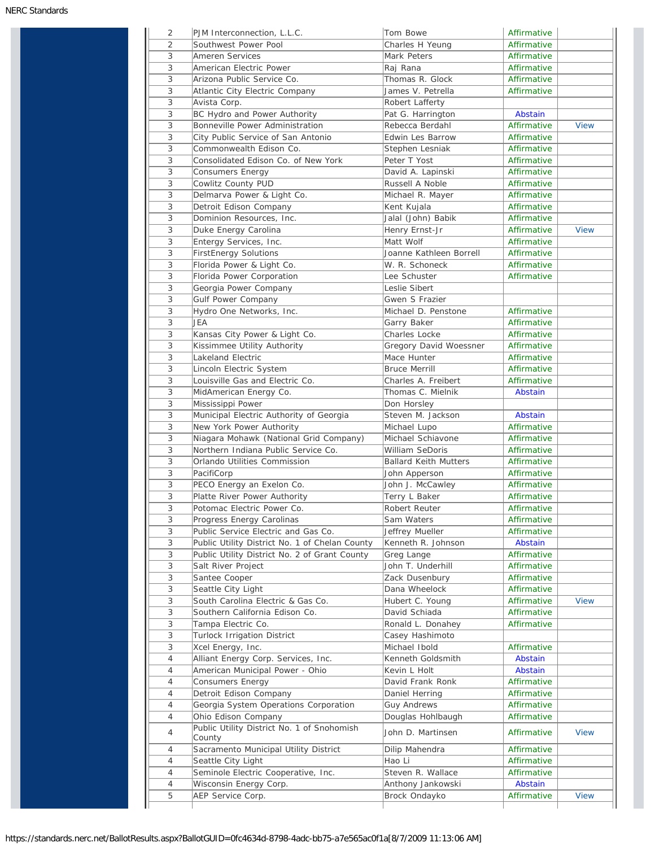| 2              | PJM Interconnection, L.L.C.                                       | Tom Bowe                               | Affirmative                |             |
|----------------|-------------------------------------------------------------------|----------------------------------------|----------------------------|-------------|
| $\overline{2}$ | Southwest Power Pool                                              | Charles H Yeung                        | Affirmative                |             |
| 3              | Ameren Services                                                   | Mark Peters                            | Affirmative                |             |
| 3              | American Electric Power                                           | Raj Rana                               | Affirmative                |             |
| 3              | Arizona Public Service Co.                                        | Thomas R. Glock                        | Affirmative                |             |
| 3              | Atlantic City Electric Company                                    | James V. Petrella                      | Affirmative                |             |
| 3              | Avista Corp.                                                      | Robert Lafferty                        |                            |             |
| 3              | BC Hydro and Power Authority                                      | Pat G. Harrington                      | Abstain                    |             |
| 3              | Bonneville Power Administration                                   | Rebecca Berdahl                        | Affirmative                | <b>View</b> |
| 3              | City Public Service of San Antonio                                | Edwin Les Barrow                       | Affirmative                |             |
| 3              | Commonwealth Edison Co.                                           | Stephen Lesniak                        | Affirmative                |             |
| 3              | Consolidated Edison Co. of New York                               | Peter T Yost                           | Affirmative                |             |
| 3              | Consumers Energy                                                  | David A. Lapinski                      | Affirmative                |             |
| 3              | Cowlitz County PUD                                                | Russell A Noble                        | Affirmative                |             |
| 3              | Delmarva Power & Light Co.                                        | Michael R. Mayer                       | Affirmative                |             |
| 3              | Detroit Edison Company                                            | Kent Kujala                            | Affirmative                |             |
| 3              | Dominion Resources, Inc.                                          | Jalal (John) Babik                     | Affirmative                |             |
| 3              | Duke Energy Carolina                                              | Henry Ernst-Jr                         | Affirmative                | <b>View</b> |
| 3              | Entergy Services, Inc.                                            | Matt Wolf                              | Affirmative                |             |
| 3              | <b>FirstEnergy Solutions</b>                                      | Joanne Kathleen Borrell                | Affirmative                |             |
| 3              | Florida Power & Light Co.                                         | W. R. Schoneck                         | Affirmative                |             |
| 3              | Florida Power Corporation                                         | Lee Schuster                           | Affirmative                |             |
| 3              | Georgia Power Company                                             | Leslie Sibert                          |                            |             |
| 3              | <b>Gulf Power Company</b>                                         | Gwen S Frazier                         |                            |             |
| 3              | Hydro One Networks, Inc.                                          | Michael D. Penstone                    | Affirmative                |             |
| 3              | JEA                                                               |                                        | Affirmative                |             |
|                |                                                                   | Garry Baker                            | Affirmative                |             |
| 3              | Kansas City Power & Light Co.                                     | Charles Locke                          |                            |             |
| 3              | Kissimmee Utility Authority                                       | Gregory David Woessner                 | Affirmative                |             |
| 3              | Lakeland Electric                                                 | Mace Hunter                            | Affirmative                |             |
| 3              | Lincoln Electric System                                           | <b>Bruce Merrill</b>                   | Affirmative                |             |
| 3              | Louisville Gas and Electric Co.                                   | Charles A. Freibert                    | Affirmative                |             |
| 3              | MidAmerican Energy Co.                                            | Thomas C. Mielnik                      | Abstain                    |             |
| 3              | Mississippi Power                                                 | Don Horsley                            |                            |             |
| 3              | Municipal Electric Authority of Georgia                           | Steven M. Jackson                      | Abstain                    |             |
| 3              | New York Power Authority                                          | Michael Lupo                           | Affirmative                |             |
| 3              | Niagara Mohawk (National Grid Company)                            | Michael Schiavone                      | Affirmative                |             |
| 3              | Northern Indiana Public Service Co.                               | William SeDoris                        | Affirmative                |             |
| 3              | Orlando Utilities Commission                                      | <b>Ballard Keith Mutters</b>           | Affirmative                |             |
| 3              | PacifiCorp                                                        | John Apperson                          | Affirmative                |             |
| 3              | PECO Energy an Exelon Co.                                         | John J. McCawley                       | Affirmative                |             |
| 3              | Platte River Power Authority                                      | Terry L Baker                          | Affirmative                |             |
| 3              | Potomac Electric Power Co.                                        | Robert Reuter                          | Affirmative                |             |
| 3              | Progress Energy Carolinas                                         | Sam Waters                             | Affirmative                |             |
| 3              | Public Service Electric and Gas Co.                               | Jeffrey Mueller                        | Affirmative                |             |
| 3              | Public Utility District No. 1 of Chelan County                    | Kenneth R. Johnson                     | Abstain                    |             |
| 3              | Public Utility District No. 2 of Grant County                     | Greg Lange                             | Affirmative                |             |
| 3              | Salt River Project                                                | John T. Underhill                      | Affirmative                |             |
| 3              | Santee Cooper                                                     | Zack Dusenbury                         | Affirmative                |             |
| 3              | Seattle City Light                                                | Dana Wheelock                          | Affirmative                |             |
| 3              |                                                                   | Hubert C. Young                        | Affirmative                | <b>View</b> |
|                | South Carolina Electric & Gas Co.                                 |                                        |                            |             |
| 3              | Southern California Edison Co.                                    | David Schiada                          | Affirmative                |             |
| 3              | Tampa Electric Co.                                                | Ronald L. Donahey                      | Affirmative                |             |
| 3              | Turlock Irrigation District                                       | Casey Hashimoto                        |                            |             |
| 3              |                                                                   | Michael Ibold                          | Affirmative                |             |
| 4              | Xcel Energy, Inc.                                                 | Kenneth Goldsmith                      | Abstain                    |             |
| 4              | Alliant Energy Corp. Services, Inc.                               |                                        |                            |             |
|                | American Municipal Power - Ohio                                   | Kevin L Holt                           | Abstain                    |             |
| 4              | Consumers Energy                                                  | David Frank Ronk                       | Affirmative                |             |
| 4              | Detroit Edison Company                                            | Daniel Herring                         | Affirmative                |             |
| 4              | Georgia System Operations Corporation                             | <b>Guy Andrews</b>                     | Affirmative                |             |
| 4<br>4         | Ohio Edison Company<br>Public Utility District No. 1 of Snohomish | Douglas Hohlbaugh<br>John D. Martinsen | Affirmative<br>Affirmative | <b>View</b> |
|                | County                                                            |                                        |                            |             |
| 4              | Sacramento Municipal Utility District                             | Dilip Mahendra                         | Affirmative                |             |
| 4              | Seattle City Light                                                | Hao Li                                 | Affirmative                |             |
| 4<br>4         | Seminole Electric Cooperative, Inc.<br>Wisconsin Energy Corp.     | Steven R. Wallace<br>Anthony Jankowski | Affirmative<br>Abstain     |             |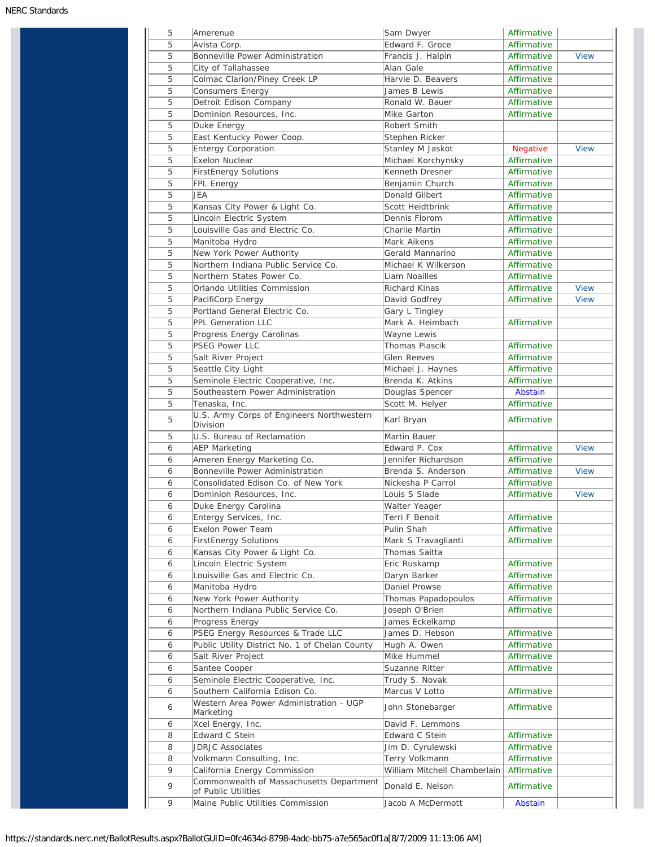| 5      | Amerenue                                                                                        | Sam Dwyer                                        | Affirmative                |             |
|--------|-------------------------------------------------------------------------------------------------|--------------------------------------------------|----------------------------|-------------|
|        | Avista Corp.                                                                                    | Edward F. Groce                                  | Affirmative                |             |
| 5      | Bonneville Power Administration                                                                 | Francis J. Halpin                                | Affirmative                | <b>View</b> |
| 5      | City of Tallahassee                                                                             | Alan Gale                                        | Affirmative                |             |
| 5      | Colmac Clarion/Piney Creek LP                                                                   | Harvie D. Beavers                                | Affirmative                |             |
| 5      | <b>Consumers Energy</b>                                                                         | James B Lewis                                    | Affirmative                |             |
| 5      | Detroit Edison Company                                                                          | Ronald W. Bauer                                  | Affirmative                |             |
| 5      | Dominion Resources, Inc.                                                                        | Mike Garton                                      | Affirmative                |             |
| 5      | Duke Energy                                                                                     | Robert Smith                                     |                            |             |
| 5      | East Kentucky Power Coop.                                                                       | Stephen Ricker                                   |                            |             |
| 5      | Entergy Corporation                                                                             | Stanley M Jaskot                                 | <b>Negative</b>            | <b>View</b> |
| 5      | <b>Exelon Nuclear</b>                                                                           | Michael Korchynsky                               | Affirmative                |             |
| 5      | <b>FirstEnergy Solutions</b>                                                                    | Kenneth Dresner                                  | Affirmative                |             |
| 5      | FPL Energy                                                                                      | Benjamin Church                                  | Affirmative                |             |
| 5      | JEA                                                                                             | Donald Gilbert                                   | Affirmative                |             |
| 5      | Kansas City Power & Light Co.                                                                   | Scott Heidtbrink                                 | Affirmative                |             |
| 5      | Lincoln Electric System                                                                         | Dennis Florom                                    | Affirmative                |             |
| 5      | Louisville Gas and Electric Co.                                                                 | Charlie Martin                                   | Affirmative                |             |
| 5      | Manitoba Hydro                                                                                  | Mark Aikens                                      | Affirmative                |             |
| 5      | New York Power Authority                                                                        | Gerald Mannarino                                 | Affirmative                |             |
| 5      | Northern Indiana Public Service Co.                                                             | Michael K Wilkerson                              | Affirmative                |             |
| 5      | Northern States Power Co.                                                                       | Liam Noailles                                    | Affirmative                |             |
| 5      | Orlando Utilities Commission                                                                    | Richard Kinas                                    | Affirmative                | <b>View</b> |
| 5      | PacifiCorp Energy                                                                               | David Godfrey                                    | Affirmative                | <b>View</b> |
| 5      | Portland General Electric Co.                                                                   | Gary L Tingley                                   |                            |             |
| 5      | <b>PPL Generation LLC</b>                                                                       | Mark A. Heimbach                                 | Affirmative                |             |
| 5      | Progress Energy Carolinas                                                                       | Wayne Lewis                                      |                            |             |
|        |                                                                                                 | <b>Thomas Piascik</b>                            | Affirmative                |             |
| 5      | PSEG Power LLC                                                                                  |                                                  |                            |             |
| 5      | Salt River Project                                                                              | <b>Glen Reeves</b>                               | Affirmative                |             |
| 5      | Seattle City Light                                                                              | Michael J. Haynes                                | Affirmative                |             |
| 5      | Seminole Electric Cooperative, Inc.                                                             | Brenda K. Atkins                                 | Affirmative                |             |
| 5      | Southeastern Power Administration                                                               | Douglas Spencer                                  | Abstain                    |             |
| 5      | Tenaska, Inc.                                                                                   | Scott M. Helyer                                  | Affirmative                |             |
| 5      | U.S. Army Corps of Engineers Northwestern<br>Division                                           | Karl Bryan                                       | Affirmative                |             |
| 5      | U.S. Bureau of Reclamation                                                                      | Martin Bauer                                     |                            |             |
| 6      | <b>AEP Marketing</b>                                                                            | Edward P. Cox                                    | Affirmative                | <b>View</b> |
| 6      | Ameren Energy Marketing Co.                                                                     | Jennifer Richardson                              | Affirmative                |             |
| 6      | Bonneville Power Administration                                                                 | Brenda S. Anderson                               | Affirmative                | <b>View</b> |
| 6      | Consolidated Edison Co. of New York                                                             | Nickesha P Carrol                                | Affirmative                |             |
| 6      | Dominion Resources, Inc.                                                                        | Louis S Slade                                    |                            |             |
|        |                                                                                                 |                                                  | Affirmative                | <b>View</b> |
| 6      | Duke Energy Carolina                                                                            | Walter Yeager                                    |                            |             |
| 6      | Entergy Services, Inc.                                                                          | Terri F Benoit                                   | Affirmative                |             |
| 6      | Exelon Power Team                                                                               | Pulin Shah                                       | Affirmative                |             |
| 6      | <b>FirstEnergy Solutions</b>                                                                    | Mark S Travaglianti                              | Affirmative                |             |
| 6      | Kansas City Power & Light Co.                                                                   | Thomas Saitta                                    |                            |             |
| 6      | Lincoln Electric System                                                                         | Eric Ruskamp                                     | Affirmative                |             |
| 6      | Louisville Gas and Electric Co.                                                                 | Daryn Barker                                     | Affirmative                |             |
| 6      | Manitoba Hydro                                                                                  | Daniel Prowse                                    | Affirmative                |             |
| 6      | New York Power Authority                                                                        | Thomas Papadopoulos                              | Affirmative                |             |
| 6      | Northern Indiana Public Service Co.                                                             | Joseph O'Brien                                   | Affirmative                |             |
| 6      | Progress Energy                                                                                 | James Eckelkamp                                  |                            |             |
| 6      |                                                                                                 | James D. Hebson                                  | Affirmative                |             |
| 6      | PSEG Energy Resources & Trade LLC                                                               | Hugh A. Owen                                     | Affirmative                |             |
| 6      | Public Utility District No. 1 of Chelan County<br>Salt River Project                            | Mike Hummel                                      | Affirmative                |             |
| 6      | Santee Cooper                                                                                   | Suzanne Ritter                                   | Affirmative                |             |
| 6      |                                                                                                 |                                                  |                            |             |
| 6      | Seminole Electric Cooperative, Inc.                                                             | Trudy S. Novak                                   |                            |             |
| 6      | Southern California Edison Co.<br>Western Area Power Administration - UGP                       | Marcus V Lotto<br>John Stonebarger               | Affirmative<br>Affirmative |             |
|        | Marketing                                                                                       |                                                  |                            |             |
| 6      | Xcel Energy, Inc.                                                                               | David F. Lemmons                                 |                            |             |
| 8      | Edward C Stein                                                                                  | Edward C Stein                                   | Affirmative                |             |
| 8      | <b>JDRJC Associates</b>                                                                         | Jim D. Cyrulewski                                | Affirmative                |             |
| 8      | Volkmann Consulting, Inc.                                                                       | Terry Volkmann                                   | Affirmative                |             |
| 9<br>9 | California Energy Commission<br>Commonwealth of Massachusetts Department<br>of Public Utilities | William Mitchell Chamberlain<br>Donald E. Nelson | Affirmative<br>Affirmative |             |